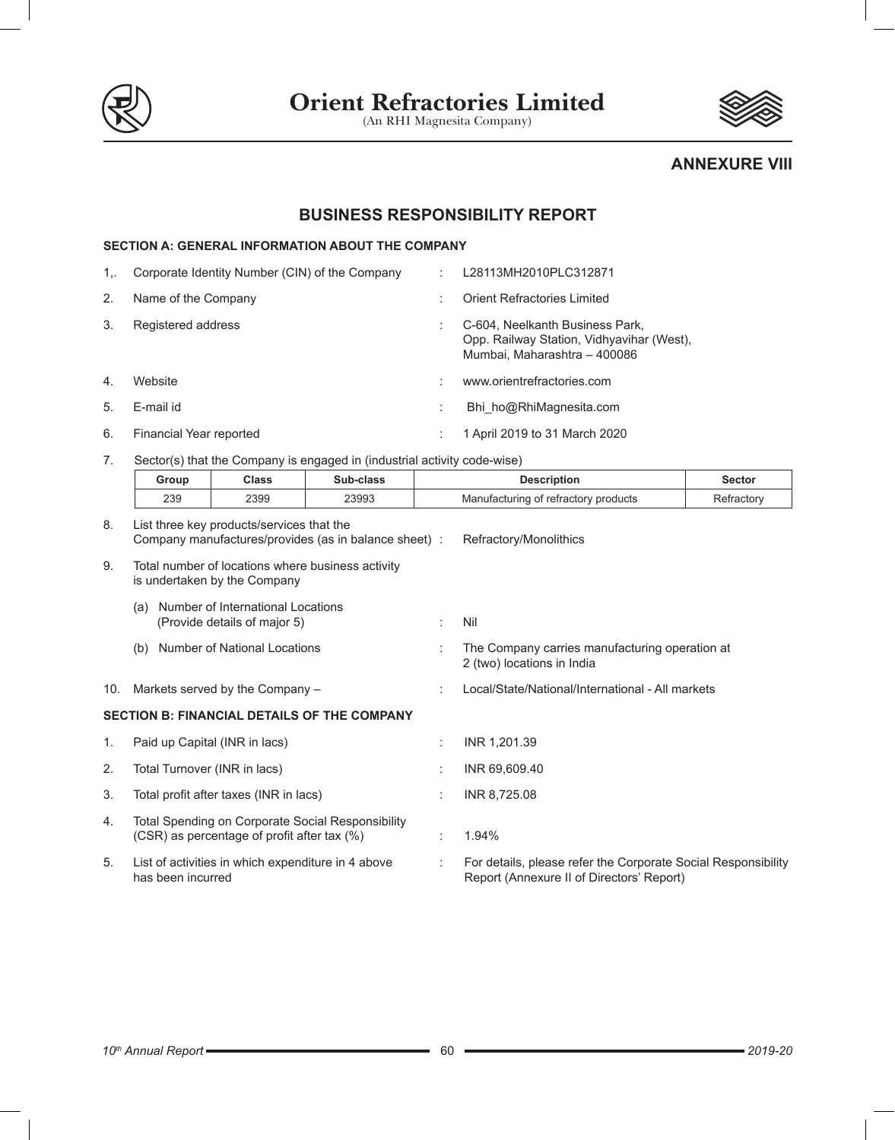

(An RHI Magnesita Company)



# **ANNEXURE VIII**

# **BUSINESS RESPONSIBILITY REPORT**

# **SECTION A: GENERAL INFORMATION ABOUT THE COMPANY**

| $1_{1}$ | Corporate Identity Number (CIN) of the Company | L28113MH2010PLC312871                                                                                        |
|---------|------------------------------------------------|--------------------------------------------------------------------------------------------------------------|
| 2.      | Name of the Company                            | Orient Refractories Limited                                                                                  |
| 3.      | Registered address                             | C-604, Neelkanth Business Park,<br>Opp. Railway Station, Vidhyavihar (West),<br>Mumbai, Maharashtra - 400086 |
| 4.      | Website                                        | www.orientrefractories.com                                                                                   |
| 5.      | E-mail id                                      | Bhi ho@RhiMagnesita.com                                                                                      |
| 6.      | Financial Year reported                        | 1 April 2019 to 31 March 2020                                                                                |

7. Sector(s) that the Company is engaged in (industrial activity code-wise)

|    | .                     |                                           |           |                                      |               |  |  |
|----|-----------------------|-------------------------------------------|-----------|--------------------------------------|---------------|--|--|
|    | <b>Class</b><br>Group |                                           | Sub-class | <b>Description</b>                   | <b>Sector</b> |  |  |
|    | 239                   | 2399                                      | 23993     | Manufacturing of refractory products | Refractory    |  |  |
| 8. |                       | List three key products/services that the |           |                                      |               |  |  |

|     |     | Company manufactures/provides (as in balance sheet):                                             |   | Refractory/Monolithics                                                                                     |
|-----|-----|--------------------------------------------------------------------------------------------------|---|------------------------------------------------------------------------------------------------------------|
| 9.  |     | Total number of locations where business activity<br>is undertaken by the Company                |   |                                                                                                            |
|     | (a) | Number of International Locations<br>(Provide details of major 5)                                |   | Nil                                                                                                        |
|     | (b) | Number of National Locations                                                                     |   | The Company carries manufacturing operation at<br>2 (two) locations in India                               |
| 10. |     | Markets served by the Company -                                                                  |   | Local/State/National/International - All markets                                                           |
|     |     | <b>SECTION B: FINANCIAL DETAILS OF THE COMPANY</b>                                               |   |                                                                                                            |
| 1.  |     | Paid up Capital (INR in lacs)                                                                    |   | INR 1,201.39                                                                                               |
| 2.  |     | Total Turnover (INR in lacs)                                                                     |   | INR 69,609.40                                                                                              |
| 3.  |     | Total profit after taxes (INR in lacs)                                                           |   | INR 8,725.08                                                                                               |
| 4.  |     | Total Spending on Corporate Social Responsibility<br>(CSR) as percentage of profit after tax (%) |   | 1.94%                                                                                                      |
| 5.  |     | List of activities in which expenditure in 4 above<br>has been incurred                          | ÷ | For details, please refer the Corporate Social Responsibility<br>Report (Annexure II of Directors' Report) |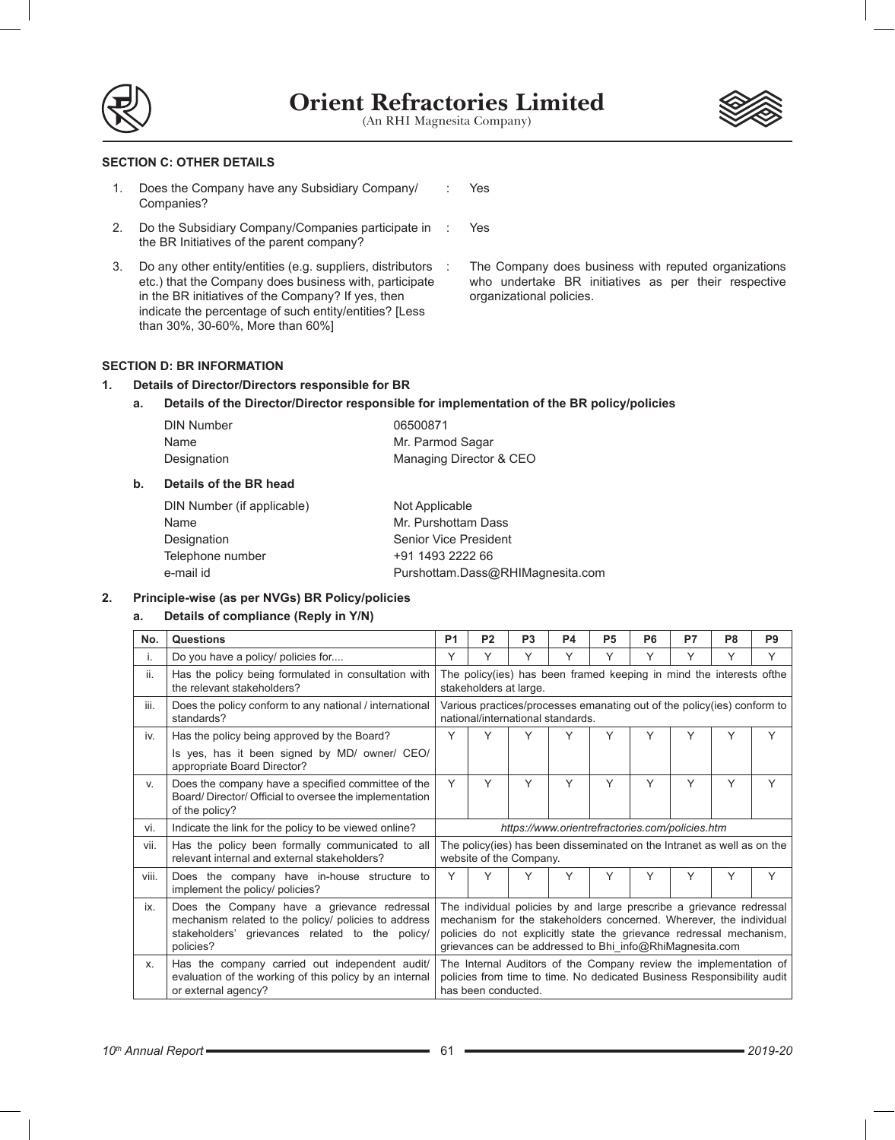

Yes



## **SECTION C: OTHER DETAILS**

- 1. Does the Company have any Subsidiary Company/ Companies? : Yes
- 2. Do the Subsidiary Company/Companies participate in the BR Initiatives of the parent company?
- 3. Do any other entity/entities (e.g. suppliers, distributors etc.) that the Company does business with, participate in the BR initiatives of the Company? If yes, then indicate the percentage of such entity/entities? [Less than 30%, 30-60%, More than 60%]

The Company does business with reputed organizations who undertake BR initiatives as per their respective organizational policies.

# **SECTION D: BR INFORMATION**

#### **1. Details of Director/Directors responsible for BR**

## **a. Details of the Director/Director responsible for implementation of the BR policy/policies**

| <b>DIN Number</b> | 06500871                |
|-------------------|-------------------------|
| Name              | Mr. Parmod Sagar        |
| Designation       | Managing Director & CEO |

#### **b. Details of the BR head**

| DIN Number (if applicable) | Not Applicable                   |
|----------------------------|----------------------------------|
| Name                       | Mr. Purshottam Dass              |
| Designation                | Senior Vice President            |
| Telephone number           | +91 1493 2222 66                 |
| e-mail id                  | Purshottam.Dass@RHIMagnesita.com |

#### **2. Principle-wise (as per NVGs) BR Policy/policies**

### **a. Details of compliance (Reply in Y/N)**

| No.   | Questions                                                                                                                                                           | P <sub>1</sub>                                                                                                                                                                                                                                                                | P <sub>2</sub>                                                                                                                                                     | P <sub>3</sub>                    | <b>P4</b> | P <sub>5</sub>                                                          | P <sub>6</sub> | P7 | P <sub>8</sub> | P <sub>9</sub> |
|-------|---------------------------------------------------------------------------------------------------------------------------------------------------------------------|-------------------------------------------------------------------------------------------------------------------------------------------------------------------------------------------------------------------------------------------------------------------------------|--------------------------------------------------------------------------------------------------------------------------------------------------------------------|-----------------------------------|-----------|-------------------------------------------------------------------------|----------------|----|----------------|----------------|
| ı.    | Do you have a policy/ policies for                                                                                                                                  | Υ                                                                                                                                                                                                                                                                             | Υ                                                                                                                                                                  | Υ                                 | Υ         | Υ                                                                       | Υ              | Υ  | Υ              | Y              |
| ii.   | Has the policy being formulated in consultation with<br>the relevant stakeholders?                                                                                  |                                                                                                                                                                                                                                                                               | The policy(ies) has been framed keeping in mind the interests of the<br>stakeholders at large.                                                                     |                                   |           |                                                                         |                |    |                |                |
| iii.  | Does the policy conform to any national / international<br>standards?                                                                                               |                                                                                                                                                                                                                                                                               |                                                                                                                                                                    | national/international standards. |           | Various practices/processes emanating out of the policy(ies) conform to |                |    |                |                |
| iv.   | Has the policy being approved by the Board?                                                                                                                         | Υ                                                                                                                                                                                                                                                                             | Υ                                                                                                                                                                  | Υ                                 | Υ         | Υ                                                                       | Υ              | Υ  | Υ              | Υ              |
|       | Is yes, has it been signed by MD/ owner/ CEO/<br>appropriate Board Director?                                                                                        |                                                                                                                                                                                                                                                                               |                                                                                                                                                                    |                                   |           |                                                                         |                |    |                |                |
| V.    | Does the company have a specified committee of the<br>Board/Director/Official to oversee the implementation<br>of the policy?                                       | Y                                                                                                                                                                                                                                                                             | Y                                                                                                                                                                  | Υ                                 | Y         | Υ                                                                       | Y              | Y  | Y              | Y              |
| vi.   | Indicate the link for the policy to be viewed online?                                                                                                               | https://www.orientrefractories.com/policies.htm                                                                                                                                                                                                                               |                                                                                                                                                                    |                                   |           |                                                                         |                |    |                |                |
| vii.  | Has the policy been formally communicated to all<br>relevant internal and external stakeholders?                                                                    | The policy(ies) has been disseminated on the Intranet as well as on the<br>website of the Company.                                                                                                                                                                            |                                                                                                                                                                    |                                   |           |                                                                         |                |    |                |                |
| viii. | Does the company have in-house structure to<br>implement the policy/ policies?                                                                                      | Y                                                                                                                                                                                                                                                                             | Y                                                                                                                                                                  | Υ                                 | Y         | Υ                                                                       | Υ              | Y  | Υ              | Y              |
| ix.   | Does the Company have a grievance redressal<br>mechanism related to the policy/ policies to address<br>stakeholders' grievances related to the policy/<br>policies? | The individual policies by and large prescribe a grievance redressal<br>mechanism for the stakeholders concerned. Wherever, the individual<br>policies do not explicitly state the grievance redressal mechanism,<br>grievances can be addressed to Bhi_info@RhiMagnesita.com |                                                                                                                                                                    |                                   |           |                                                                         |                |    |                |                |
| Х.    | Has the company carried out independent audit/<br>evaluation of the working of this policy by an internal<br>or external agency?                                    |                                                                                                                                                                                                                                                                               | The Internal Auditors of the Company review the implementation of<br>policies from time to time. No dedicated Business Responsibility audit<br>has been conducted. |                                   |           |                                                                         |                |    |                |                |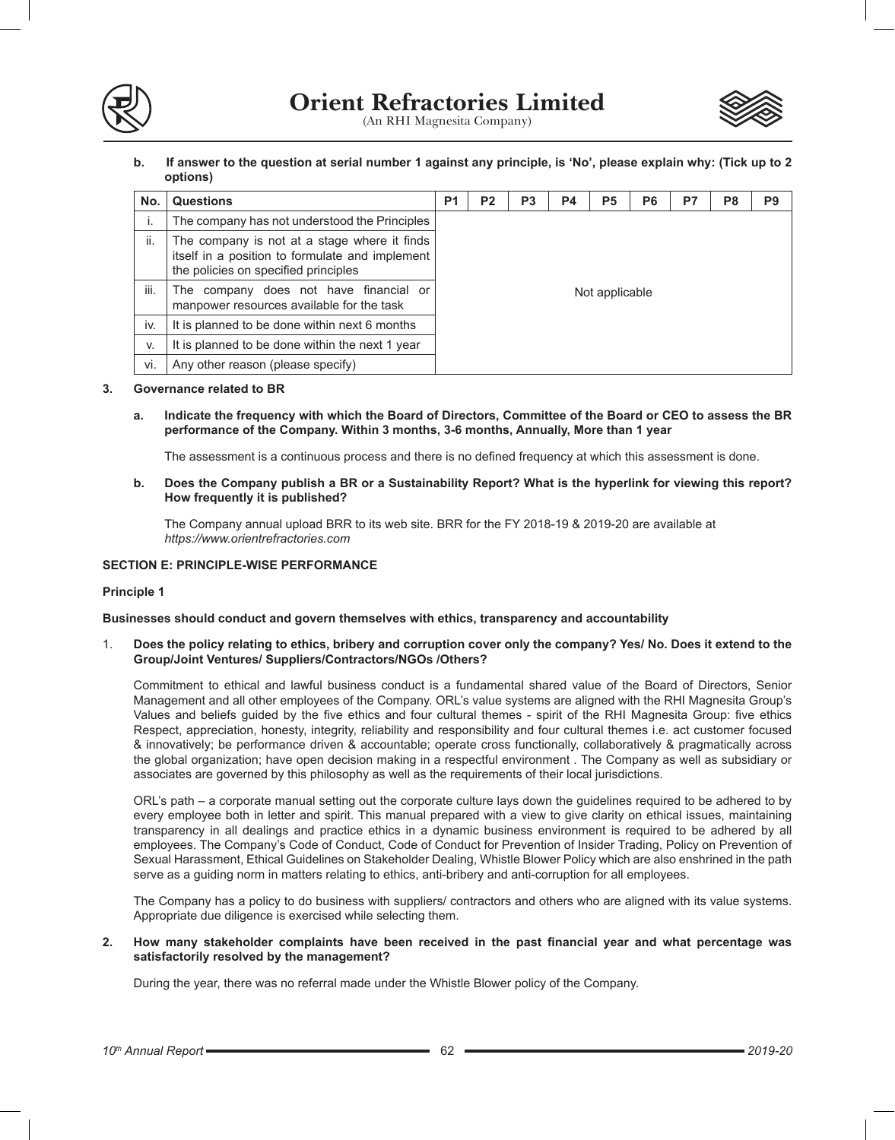



**b. If answer to the question at serial number 1 against any principle, is 'No', please explain why: (Tick up to 2 options)**

| No.  | <b>Questions</b>                                                                                                                        | P <sub>1</sub> | P <sub>2</sub> | P <sub>3</sub> | P4 | P <sub>5</sub> | P6 | P7 | P <sub>8</sub> | P <sub>9</sub> |
|------|-----------------------------------------------------------------------------------------------------------------------------------------|----------------|----------------|----------------|----|----------------|----|----|----------------|----------------|
| ı.   | The company has not understood the Principles                                                                                           |                |                |                |    |                |    |    |                |                |
| ii.  | The company is not at a stage where it finds<br>itself in a position to formulate and implement<br>the policies on specified principles |                |                |                |    |                |    |    |                |                |
| iii. | The company does not have financial or<br>manpower resources available for the task                                                     | Not applicable |                |                |    |                |    |    |                |                |
| iv.  | It is planned to be done within next 6 months                                                                                           |                |                |                |    |                |    |    |                |                |
| V.   | It is planned to be done within the next 1 year                                                                                         |                |                |                |    |                |    |    |                |                |
| Vİ.  | Any other reason (please specify)                                                                                                       |                |                |                |    |                |    |    |                |                |

### **3. Governance related to BR**

**a. Indicate the frequency with which the Board of Directors, Committee of the Board or CEO to assess the BR performance of the Company. Within 3 months, 3-6 months, Annually, More than 1 year**

The assessment is a continuous process and there is no defined frequency at which this assessment is done.

**b. Does the Company publish a BR or a Sustainability Report? What is the hyperlink for viewing this report? How frequently it is published?** 

 The Company annual upload BRR to its web site. BRR for the FY 2018-19 & 2019-20 are available at *https://www.orientrefractories.com*

## **SECTION E: PRINCIPLE-WISE PERFORMANCE**

## **Principle 1**

### **Businesses should conduct and govern themselves with ethics, transparency and accountability**

1. **Does the policy relating to ethics, bribery and corruption cover only the company? Yes/ No. Does it extend to the Group/Joint Ventures/ Suppliers/Contractors/NGOs /Others?** 

Commitment to ethical and lawful business conduct is a fundamental shared value of the Board of Directors, Senior Management and all other employees of the Company. ORL's value systems are aligned with the RHI Magnesita Group's Values and beliefs guided by the five ethics and four cultural themes - spirit of the RHI Magnesita Group: five ethics Respect, appreciation, honesty, integrity, reliability and responsibility and four cultural themes i.e. act customer focused & innovatively; be performance driven & accountable; operate cross functionally, collaboratively & pragmatically across the global organization; have open decision making in a respectful environment . The Company as well as subsidiary or associates are governed by this philosophy as well as the requirements of their local jurisdictions.

ORL's path – a corporate manual setting out the corporate culture lays down the guidelines required to be adhered to by every employee both in letter and spirit. This manual prepared with a view to give clarity on ethical issues, maintaining transparency in all dealings and practice ethics in a dynamic business environment is required to be adhered by all employees. The Company's Code of Conduct, Code of Conduct for Prevention of Insider Trading, Policy on Prevention of Sexual Harassment, Ethical Guidelines on Stakeholder Dealing, Whistle Blower Policy which are also enshrined in the path serve as a guiding norm in matters relating to ethics, anti-bribery and anti-corruption for all employees.

The Company has a policy to do business with suppliers/ contractors and others who are aligned with its value systems. Appropriate due diligence is exercised while selecting them.

#### **2. How many stakeholder complaints have been received in the past financial year and what percentage was satisfactorily resolved by the management?**

During the year, there was no referral made under the Whistle Blower policy of the Company.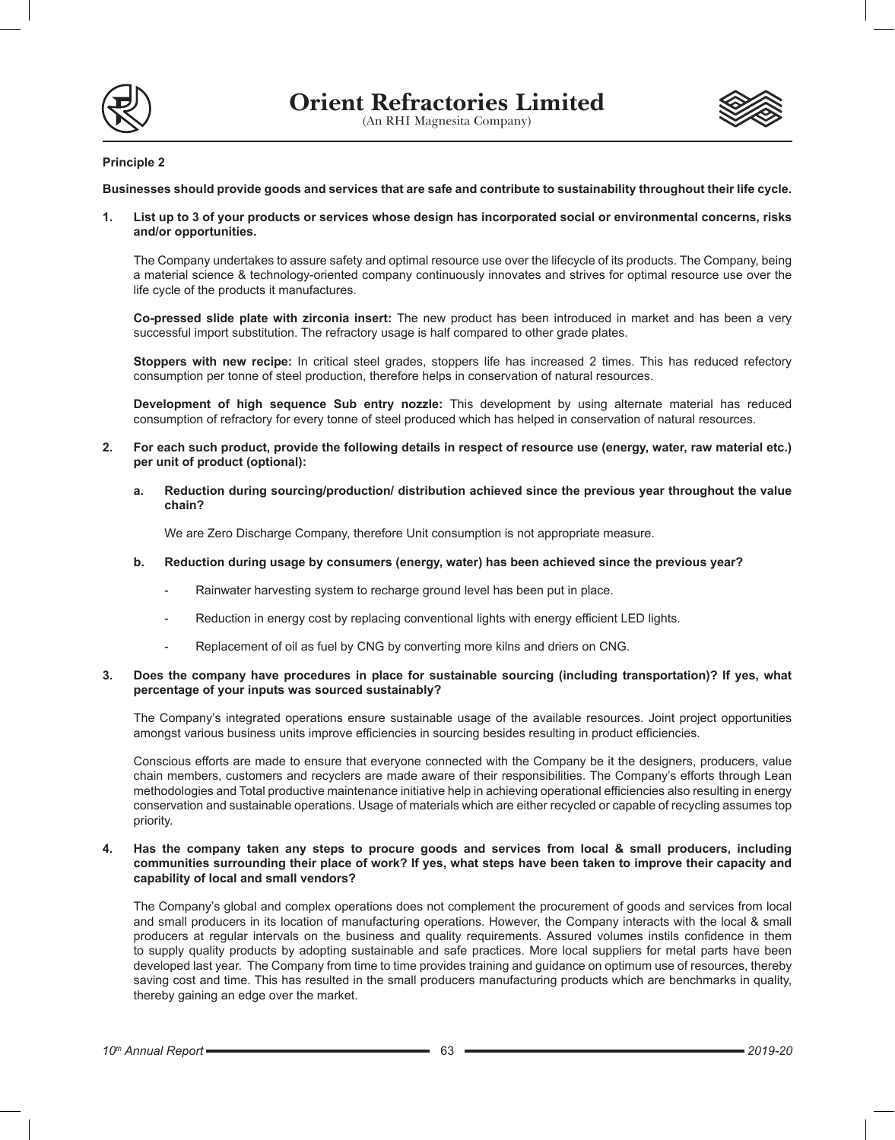



## **Principle 2**

**Businesses should provide goods and services that are safe and contribute to sustainability throughout their life cycle.**

**1. List up to 3 of your products or services whose design has incorporated social or environmental concerns, risks and/or opportunities.** 

The Company undertakes to assure safety and optimal resource use over the lifecycle of its products. The Company, being a material science & technology-oriented company continuously innovates and strives for optimal resource use over the life cycle of the products it manufactures.

**Co-pressed slide plate with zirconia insert:** The new product has been introduced in market and has been a very successful import substitution. The refractory usage is half compared to other grade plates.

**Stoppers with new recipe:** In critical steel grades, stoppers life has increased 2 times. This has reduced refectory consumption per tonne of steel production, therefore helps in conservation of natural resources.

**Development of high sequence Sub entry nozzle:** This development by using alternate material has reduced consumption of refractory for every tonne of steel produced which has helped in conservation of natural resources.

- **2. For each such product, provide the following details in respect of resource use (energy, water, raw material etc.) per unit of product (optional):** 
	- **a. Reduction during sourcing/production/ distribution achieved since the previous year throughout the value chain?**

We are Zero Discharge Company, therefore Unit consumption is not appropriate measure.

- **b. Reduction during usage by consumers (energy, water) has been achieved since the previous year?** 
	- Rainwater harvesting system to recharge ground level has been put in place.
	- Reduction in energy cost by replacing conventional lights with energy efficient LED lights.
	- Replacement of oil as fuel by CNG by converting more kilns and driers on CNG.

### **3. Does the company have procedures in place for sustainable sourcing (including transportation)? If yes, what percentage of your inputs was sourced sustainably?**

The Company's integrated operations ensure sustainable usage of the available resources. Joint project opportunities amongst various business units improve efficiencies in sourcing besides resulting in product efficiencies.

Conscious efforts are made to ensure that everyone connected with the Company be it the designers, producers, value chain members, customers and recyclers are made aware of their responsibilities. The Company's efforts through Lean methodologies and Total productive maintenance initiative help in achieving operational efficiencies also resulting in energy conservation and sustainable operations. Usage of materials which are either recycled or capable of recycling assumes top priority.

**4. Has the company taken any steps to procure goods and services from local & small producers, including communities surrounding their place of work? If yes, what steps have been taken to improve their capacity and capability of local and small vendors?** 

The Company's global and complex operations does not complement the procurement of goods and services from local and small producers in its location of manufacturing operations. However, the Company interacts with the local & small producers at regular intervals on the business and quality requirements. Assured volumes instils confidence in them to supply quality products by adopting sustainable and safe practices. More local suppliers for metal parts have been developed last year. The Company from time to time provides training and guidance on optimum use of resources, thereby saving cost and time. This has resulted in the small producers manufacturing products which are benchmarks in quality, thereby gaining an edge over the market.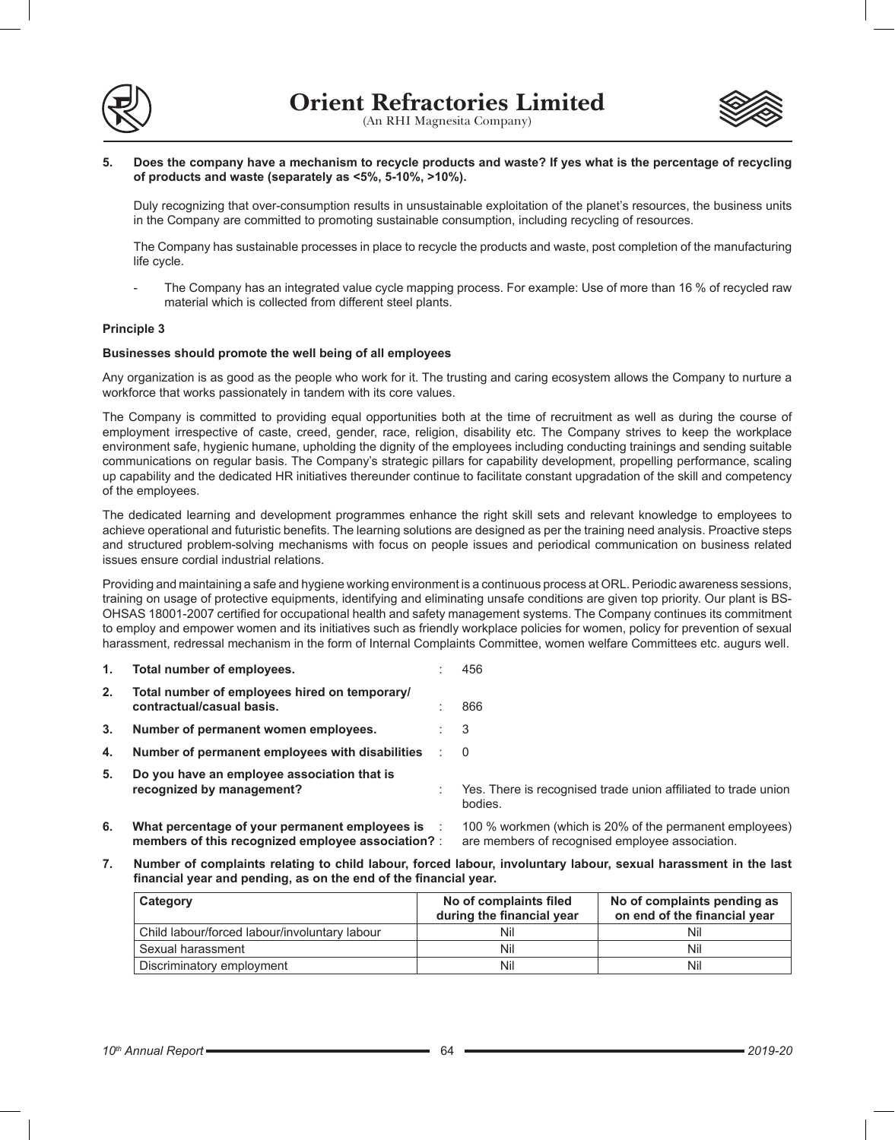



**5. Does the company have a mechanism to recycle products and waste? If yes what is the percentage of recycling of products and waste (separately as <5%, 5-10%, >10%).** 

Duly recognizing that over-consumption results in unsustainable exploitation of the planet's resources, the business units in the Company are committed to promoting sustainable consumption, including recycling of resources.

The Company has sustainable processes in place to recycle the products and waste, post completion of the manufacturing life cycle.

The Company has an integrated value cycle mapping process. For example: Use of more than 16 % of recycled raw material which is collected from different steel plants.

## **Principle 3**

### **Businesses should promote the well being of all employees**

Any organization is as good as the people who work for it. The trusting and caring ecosystem allows the Company to nurture a workforce that works passionately in tandem with its core values.

The Company is committed to providing equal opportunities both at the time of recruitment as well as during the course of employment irrespective of caste, creed, gender, race, religion, disability etc. The Company strives to keep the workplace environment safe, hygienic humane, upholding the dignity of the employees including conducting trainings and sending suitable communications on regular basis. The Company's strategic pillars for capability development, propelling performance, scaling up capability and the dedicated HR initiatives thereunder continue to facilitate constant upgradation of the skill and competency of the employees.

The dedicated learning and development programmes enhance the right skill sets and relevant knowledge to employees to achieve operational and futuristic benefits. The learning solutions are designed as per the training need analysis. Proactive steps and structured problem-solving mechanisms with focus on people issues and periodical communication on business related issues ensure cordial industrial relations.

Providing and maintaining a safe and hygiene working environment is a continuous process at ORL. Periodic awareness sessions, training on usage of protective equipments, identifying and eliminating unsafe conditions are given top priority. Our plant is BS-OHSAS 18001-2007 certified for occupational health and safety management systems. The Company continues its commitment to employ and empower women and its initiatives such as friendly workplace policies for women, policy for prevention of sexual harassment, redressal mechanism in the form of Internal Complaints Committee, women welfare Committees etc. augurs well.

| 1. | Total number of employees.                                                 |      | 456                                                                       |
|----|----------------------------------------------------------------------------|------|---------------------------------------------------------------------------|
| 2. | Total number of employees hired on temporary/<br>contractual/casual basis. |      | 866                                                                       |
| 3. | Number of permanent women employees.                                       | t in | -3                                                                        |
| 4. | Number of permanent employees with disabilities                            |      | $\overline{0}$                                                            |
| 5. | Do you have an employee association that is<br>recognized by management?   |      | Yes. There is recognised trade union affiliated to trade union<br>bodies. |
| 6  | What percentage of your permanent employees is                             |      | 100 % workmen (which is $20\%$ of the nermanent employees)                |

**bercentage of your permanent employees is**  $\;$  $\;$  $\;$  **100 % workmen (which is 20%) members of this recognized employee association?** : are members of recognised employee association.

**7. Number of complaints relating to child labour, forced labour, involuntary labour, sexual harassment in the last financial year and pending, as on the end of the financial year.**

| Category                                      | No of complaints filed<br>during the financial year | No of complaints pending as<br>on end of the financial year |
|-----------------------------------------------|-----------------------------------------------------|-------------------------------------------------------------|
| Child labour/forced labour/involuntary labour | Nil                                                 | Nil                                                         |
| Sexual harassment                             | Nil                                                 | Nil                                                         |
| Discriminatory employment                     | Nil                                                 | Nil                                                         |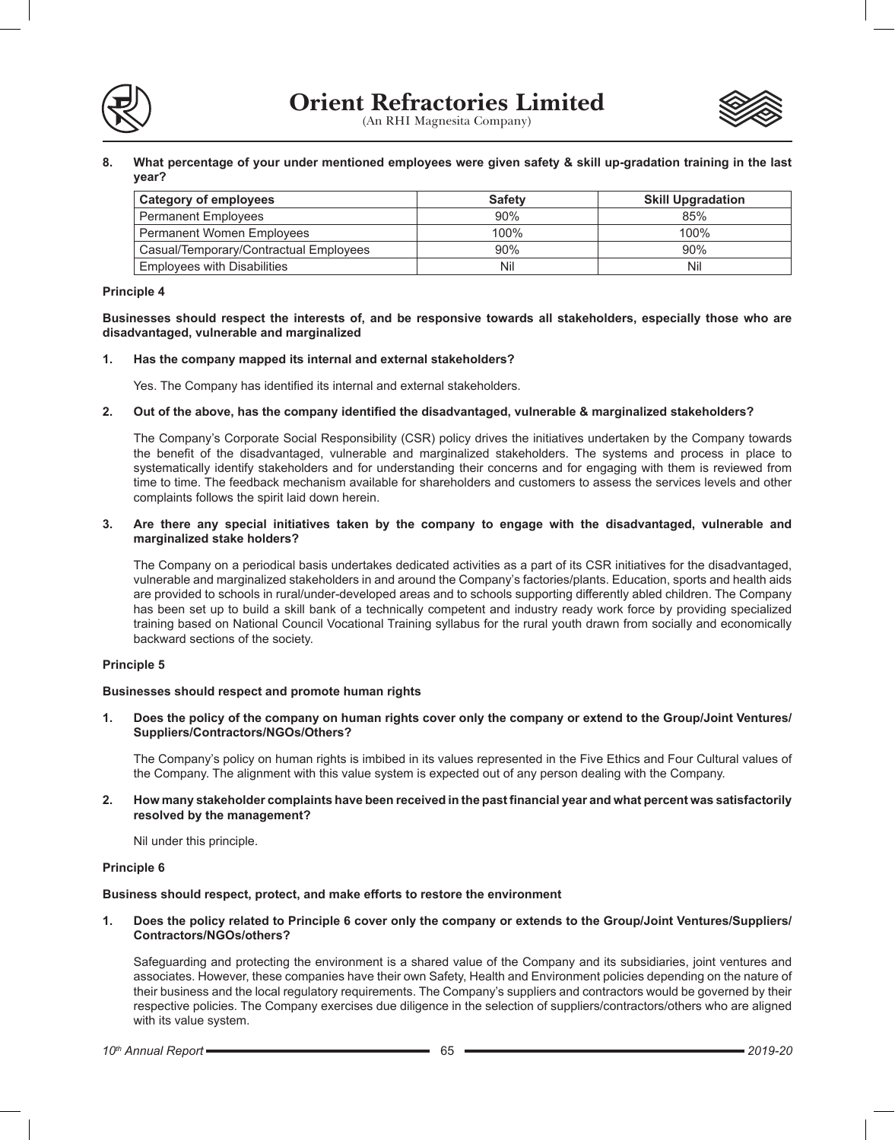



**8. What percentage of your under mentioned employees were given safety & skill up-gradation training in the last year?** 

| <b>Category of employees</b>           | <b>Safety</b> | <b>Skill Upgradation</b> |
|----------------------------------------|---------------|--------------------------|
| <b>Permanent Employees</b>             | 90%           | 85%                      |
| <b>Permanent Women Employees</b>       | 100%          | 100%                     |
| Casual/Temporary/Contractual Employees | 90%           | 90%                      |
| <b>Employees with Disabilities</b>     | Nil           | Nil                      |

### **Principle 4**

**Businesses should respect the interests of, and be responsive towards all stakeholders, especially those who are disadvantaged, vulnerable and marginalized**

### **1. Has the company mapped its internal and external stakeholders?**

Yes. The Company has identified its internal and external stakeholders.

**2. Out of the above, has the company identified the disadvantaged, vulnerable & marginalized stakeholders?**

The Company's Corporate Social Responsibility (CSR) policy drives the initiatives undertaken by the Company towards the benefit of the disadvantaged, vulnerable and marginalized stakeholders. The systems and process in place to systematically identify stakeholders and for understanding their concerns and for engaging with them is reviewed from time to time. The feedback mechanism available for shareholders and customers to assess the services levels and other complaints follows the spirit laid down herein.

**3. Are there any special initiatives taken by the company to engage with the disadvantaged, vulnerable and marginalized stake holders?** 

The Company on a periodical basis undertakes dedicated activities as a part of its CSR initiatives for the disadvantaged, vulnerable and marginalized stakeholders in and around the Company's factories/plants. Education, sports and health aids are provided to schools in rural/under-developed areas and to schools supporting differently abled children. The Company has been set up to build a skill bank of a technically competent and industry ready work force by providing specialized training based on National Council Vocational Training syllabus for the rural youth drawn from socially and economically backward sections of the society.

### **Principle 5**

### **Businesses should respect and promote human rights**

**1. Does the policy of the company on human rights cover only the company or extend to the Group/Joint Ventures/ Suppliers/Contractors/NGOs/Others?** 

The Company's policy on human rights is imbibed in its values represented in the Five Ethics and Four Cultural values of the Company. The alignment with this value system is expected out of any person dealing with the Company.

### **2. How many stakeholder complaints have been received in the past financial year and what percent was satisfactorily resolved by the management?**

Nil under this principle.

### **Principle 6**

### **Business should respect, protect, and make efforts to restore the environment**

**1. Does the policy related to Principle 6 cover only the company or extends to the Group/Joint Ventures/Suppliers/ Contractors/NGOs/others?** 

Safeguarding and protecting the environment is a shared value of the Company and its subsidiaries, joint ventures and associates. However, these companies have their own Safety, Health and Environment policies depending on the nature of their business and the local regulatory requirements. The Company's suppliers and contractors would be governed by their respective policies. The Company exercises due diligence in the selection of suppliers/contractors/others who are aligned with its value system.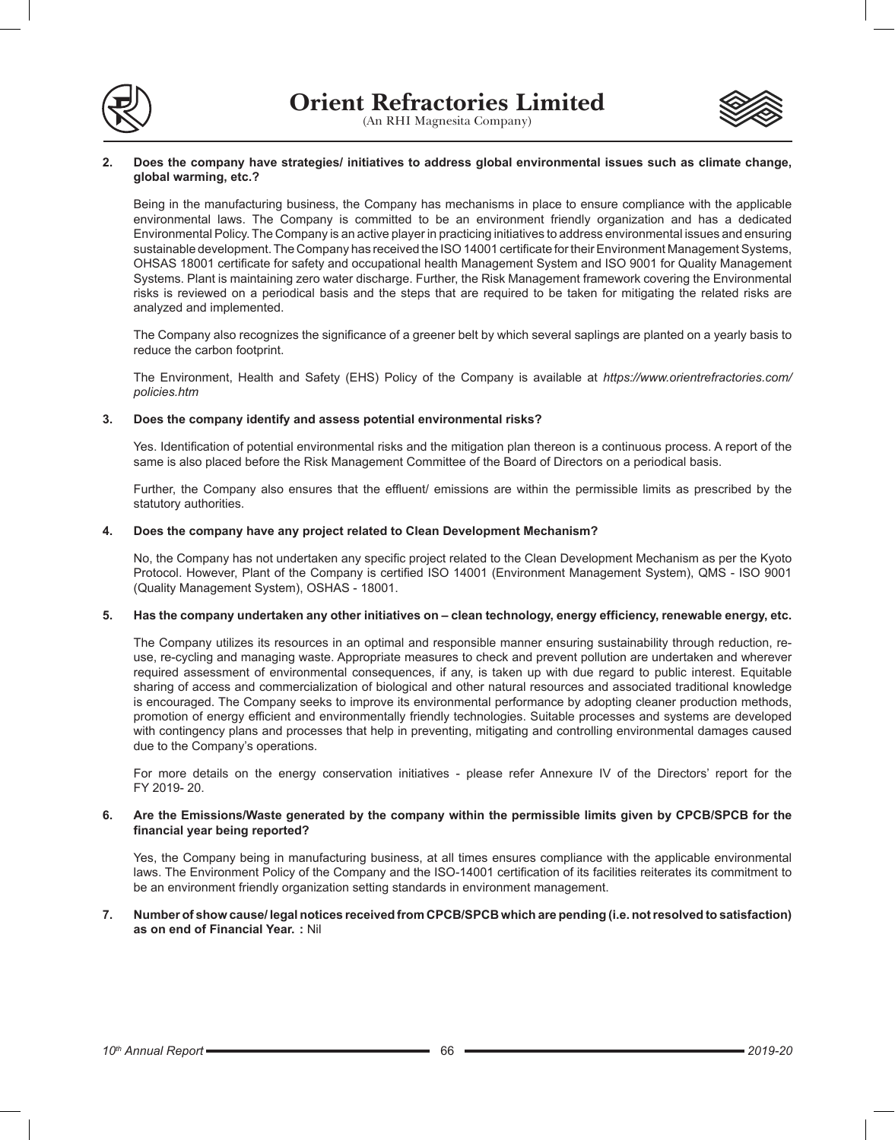



(An RHI Magnesita Company)

#### **2. Does the company have strategies/ initiatives to address global environmental issues such as climate change, global warming, etc.?**

Being in the manufacturing business, the Company has mechanisms in place to ensure compliance with the applicable environmental laws. The Company is committed to be an environment friendly organization and has a dedicated Environmental Policy. The Company is an active player in practicing initiatives to address environmental issues and ensuring sustainable development. The Company has received the ISO 14001 certificate for their Environment Management Systems, OHSAS 18001 certificate for safety and occupational health Management System and ISO 9001 for Quality Management Systems. Plant is maintaining zero water discharge. Further, the Risk Management framework covering the Environmental risks is reviewed on a periodical basis and the steps that are required to be taken for mitigating the related risks are analyzed and implemented.

The Company also recognizes the significance of a greener belt by which several saplings are planted on a yearly basis to reduce the carbon footprint.

The Environment, Health and Safety (EHS) Policy of the Company is available at *https://www.orientrefractories.com/ policies.htm*

# **3. Does the company identify and assess potential environmental risks?**

Yes. Identification of potential environmental risks and the mitigation plan thereon is a continuous process. A report of the same is also placed before the Risk Management Committee of the Board of Directors on a periodical basis.

Further, the Company also ensures that the effluent/ emissions are within the permissible limits as prescribed by the statutory authorities.

## **4. Does the company have any project related to Clean Development Mechanism?**

No, the Company has not undertaken any specific project related to the Clean Development Mechanism as per the Kyoto Protocol. However, Plant of the Company is certified ISO 14001 (Environment Management System), QMS - ISO 9001 (Quality Management System), OSHAS - 18001.

### **5. Has the company undertaken any other initiatives on – clean technology, energy efficiency, renewable energy, etc.**

The Company utilizes its resources in an optimal and responsible manner ensuring sustainability through reduction, reuse, re-cycling and managing waste. Appropriate measures to check and prevent pollution are undertaken and wherever required assessment of environmental consequences, if any, is taken up with due regard to public interest. Equitable sharing of access and commercialization of biological and other natural resources and associated traditional knowledge is encouraged. The Company seeks to improve its environmental performance by adopting cleaner production methods, promotion of energy efficient and environmentally friendly technologies. Suitable processes and systems are developed with contingency plans and processes that help in preventing, mitigating and controlling environmental damages caused due to the Company's operations.

For more details on the energy conservation initiatives - please refer Annexure IV of the Directors' report for the FY 2019- 20.

### **6. Are the Emissions/Waste generated by the company within the permissible limits given by CPCB/SPCB for the financial year being reported?**

Yes, the Company being in manufacturing business, at all times ensures compliance with the applicable environmental laws. The Environment Policy of the Company and the ISO-14001 certification of its facilities reiterates its commitment to be an environment friendly organization setting standards in environment management.

## **7. Number of show cause/ legal notices received from CPCB/SPCB which are pending (i.e. not resolved to satisfaction) as on end of Financial Year. :** Nil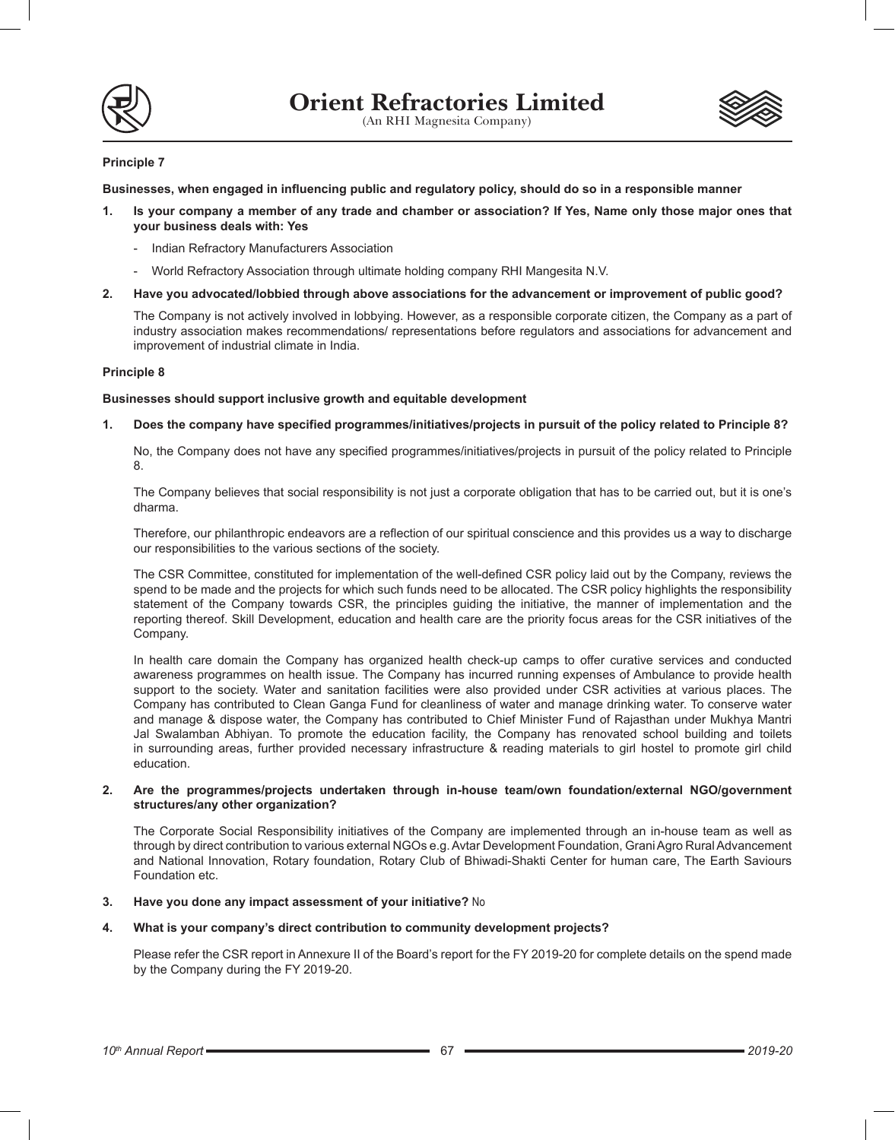



## **Principle 7**

**Businesses, when engaged in influencing public and regulatory policy, should do so in a responsible manner**

- **1. Is your company a member of any trade and chamber or association? If Yes, Name only those major ones that your business deals with: Yes**
	- Indian Refractory Manufacturers Association
	- World Refractory Association through ultimate holding company RHI Mangesita N.V.
- **2. Have you advocated/lobbied through above associations for the advancement or improvement of public good?**

The Company is not actively involved in lobbying. However, as a responsible corporate citizen, the Company as a part of industry association makes recommendations/ representations before regulators and associations for advancement and improvement of industrial climate in India.

### **Principle 8**

#### **Businesses should support inclusive growth and equitable development**

**1. Does the company have specified programmes/initiatives/projects in pursuit of the policy related to Principle 8?** 

No, the Company does not have any specified programmes/initiatives/projects in pursuit of the policy related to Principle 8.

The Company believes that social responsibility is not just a corporate obligation that has to be carried out, but it is one's dharma.

Therefore, our philanthropic endeavors are a reflection of our spiritual conscience and this provides us a way to discharge our responsibilities to the various sections of the society.

The CSR Committee, constituted for implementation of the well-defined CSR policy laid out by the Company, reviews the spend to be made and the projects for which such funds need to be allocated. The CSR policy highlights the responsibility statement of the Company towards CSR, the principles guiding the initiative, the manner of implementation and the reporting thereof. Skill Development, education and health care are the priority focus areas for the CSR initiatives of the Company.

In health care domain the Company has organized health check-up camps to offer curative services and conducted awareness programmes on health issue. The Company has incurred running expenses of Ambulance to provide health support to the society. Water and sanitation facilities were also provided under CSR activities at various places. The Company has contributed to Clean Ganga Fund for cleanliness of water and manage drinking water. To conserve water and manage & dispose water, the Company has contributed to Chief Minister Fund of Rajasthan under Mukhya Mantri Jal Swalamban Abhiyan. To promote the education facility, the Company has renovated school building and toilets in surrounding areas, further provided necessary infrastructure & reading materials to girl hostel to promote girl child education.

### **2. Are the programmes/projects undertaken through in-house team/own foundation/external NGO/government structures/any other organization?**

The Corporate Social Responsibility initiatives of the Company are implemented through an in-house team as well as through by direct contribution to various external NGOs e.g. Avtar Development Foundation, Grani Agro Rural Advancement and National Innovation, Rotary foundation, Rotary Club of Bhiwadi-Shakti Center for human care, The Earth Saviours Foundation etc.

### **3. Have you done any impact assessment of your initiative?** No

### **4. What is your company's direct contribution to community development projects?**

Please refer the CSR report in Annexure II of the Board's report for the FY 2019-20 for complete details on the spend made by the Company during the FY 2019-20.